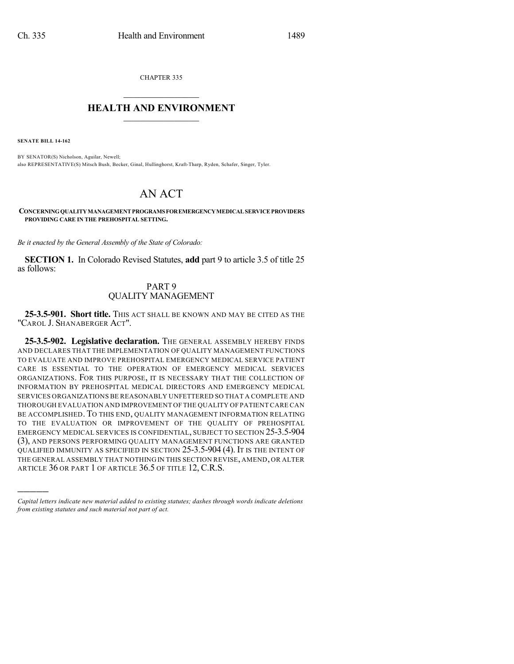CHAPTER 335  $\overline{\phantom{a}}$  . The set of the set of the set of the set of the set of the set of the set of the set of the set of the set of the set of the set of the set of the set of the set of the set of the set of the set of the set o

## **HEALTH AND ENVIRONMENT**  $\_$

**SENATE BILL 14-162**

)))))

BY SENATOR(S) Nicholson, Aguilar, Newell; also REPRESENTATIVE(S) Mitsch Bush, Becker, Ginal, Hullinghorst, Kraft-Tharp, Ryden, Schafer, Singer, Tyler.

## AN ACT

**CONCERNINGQUALITYMANAGEMENTPROGRAMSFOREMERGENCYMEDICALSERVICEPROVIDERS PROVIDING CARE IN THE PREHOSPITAL SETTING.**

*Be it enacted by the General Assembly of the State of Colorado:*

**SECTION 1.** In Colorado Revised Statutes, **add** part 9 to article 3.5 of title 25 as follows:

## PART 9 QUALITY MANAGEMENT

**25-3.5-901. Short title.** THIS ACT SHALL BE KNOWN AND MAY BE CITED AS THE "CAROL J. SHANABERGER ACT".

**25-3.5-902. Legislative declaration.** THE GENERAL ASSEMBLY HEREBY FINDS AND DECLARES THAT THE IMPLEMENTATION OF QUALITY MANAGEMENT FUNCTIONS TO EVALUATE AND IMPROVE PREHOSPITAL EMERGENCY MEDICAL SERVICE PATIENT CARE IS ESSENTIAL TO THE OPERATION OF EMERGENCY MEDICAL SERVICES ORGANIZATIONS. FOR THIS PURPOSE, IT IS NECESSARY THAT THE COLLECTION OF INFORMATION BY PREHOSPITAL MEDICAL DIRECTORS AND EMERGENCY MEDICAL SERVICES ORGANIZATIONS BE REASONABLY UNFETTERED SO THAT A COMPLETE AND THOROUGH EVALUATION AND IMPROVEMENT OF THE QUALITY OF PATIENTCARE CAN BE ACCOMPLISHED. TO THIS END, QUALITY MANAGEMENT INFORMATION RELATING TO THE EVALUATION OR IMPROVEMENT OF THE QUALITY OF PREHOSPITAL EMERGENCY MEDICAL SERVICES IS CONFIDENTIAL, SUBJECT TO SECTION 25-3.5-904 (3), AND PERSONS PERFORMING QUALITY MANAGEMENT FUNCTIONS ARE GRANTED QUALIFIED IMMUNITY AS SPECIFIED IN SECTION 25-3.5-904 (4). IT IS THE INTENT OF THE GENERAL ASSEMBLY THAT NOTHING IN THIS SECTION REVISE, AMEND, OR ALTER ARTICLE 36 OR PART 1 OF ARTICLE 36.5 OF TITLE 12, C.R.S.

*Capital letters indicate new material added to existing statutes; dashes through words indicate deletions from existing statutes and such material not part of act.*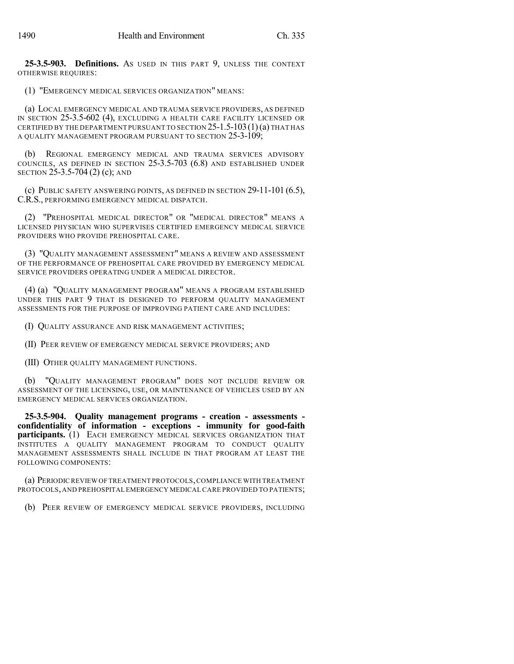**25-3.5-903. Definitions.** AS USED IN THIS PART 9, UNLESS THE CONTEXT OTHERWISE REQUIRES:

(1) "EMERGENCY MEDICAL SERVICES ORGANIZATION" MEANS:

(a) LOCAL EMERGENCY MEDICAL AND TRAUMA SERVICE PROVIDERS, AS DEFINED IN SECTION 25-3.5-602 (4), EXCLUDING A HEALTH CARE FACILITY LICENSED OR CERTIFIED BY THE DEPARTMENT PURSUANT TO SECTION  $25$ -1.5-103(1)(a) THAT HAS A QUALITY MANAGEMENT PROGRAM PURSUANT TO SECTION 25-3-109;

(b) REGIONAL EMERGENCY MEDICAL AND TRAUMA SERVICES ADVISORY COUNCILS, AS DEFINED IN SECTION 25-3.5-703 (6.8) AND ESTABLISHED UNDER SECTION 25-3.5-704 (2) (c); AND

(c) PUBLIC SAFETY ANSWERING POINTS, AS DEFINED IN SECTION  $29-11-101$  (6.5), C.R.S., PERFORMING EMERGENCY MEDICAL DISPATCH.

(2) "PREHOSPITAL MEDICAL DIRECTOR" OR "MEDICAL DIRECTOR" MEANS A LICENSED PHYSICIAN WHO SUPERVISES CERTIFIED EMERGENCY MEDICAL SERVICE PROVIDERS WHO PROVIDE PREHOSPITAL CARE.

(3) "QUALITY MANAGEMENT ASSESSMENT" MEANS A REVIEW AND ASSESSMENT OF THE PERFORMANCE OF PREHOSPITAL CARE PROVIDED BY EMERGENCY MEDICAL SERVICE PROVIDERS OPERATING UNDER A MEDICAL DIRECTOR.

(4) (a) "QUALITY MANAGEMENT PROGRAM" MEANS A PROGRAM ESTABLISHED UNDER THIS PART 9 THAT IS DESIGNED TO PERFORM QUALITY MANAGEMENT ASSESSMENTS FOR THE PURPOSE OF IMPROVING PATIENT CARE AND INCLUDES:

(I) QUALITY ASSURANCE AND RISK MANAGEMENT ACTIVITIES;

(II) PEER REVIEW OF EMERGENCY MEDICAL SERVICE PROVIDERS; AND

(III) OTHER QUALITY MANAGEMENT FUNCTIONS.

(b) "QUALITY MANAGEMENT PROGRAM" DOES NOT INCLUDE REVIEW OR ASSESSMENT OF THE LICENSING, USE, OR MAINTENANCE OF VEHICLES USED BY AN EMERGENCY MEDICAL SERVICES ORGANIZATION.

**25-3.5-904. Quality management programs - creation - assessments confidentiality of information - exceptions - immunity for good-faith participants.** (1) EACH EMERGENCY MEDICAL SERVICES ORGANIZATION THAT INSTITUTES A QUALITY MANAGEMENT PROGRAM TO CONDUCT QUALITY MANAGEMENT ASSESSMENTS SHALL INCLUDE IN THAT PROGRAM AT LEAST THE FOLLOWING COMPONENTS:

(a) PERIODIC REVIEW OF TREATMENT PROTOCOLS,COMPLIANCE WITH TREATMENT PROTOCOLS,AND PREHOSPITAL EMERGENCY MEDICAL CARE PROVIDED TO PATIENTS;

(b) PEER REVIEW OF EMERGENCY MEDICAL SERVICE PROVIDERS, INCLUDING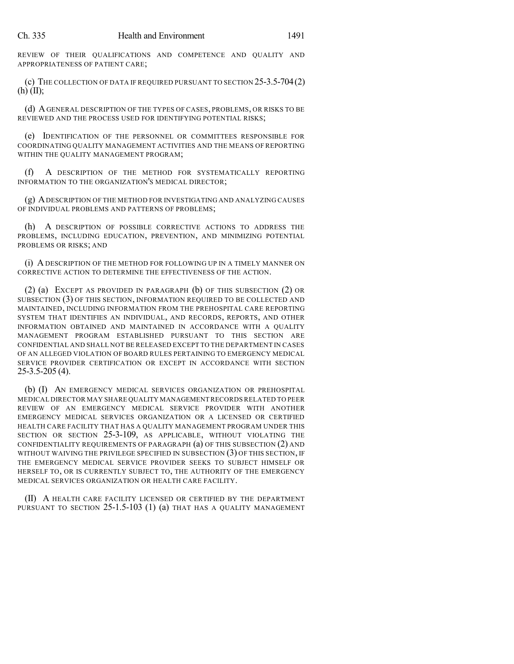REVIEW OF THEIR QUALIFICATIONS AND COMPETENCE AND QUALITY AND APPROPRIATENESS OF PATIENT CARE;

(c) THE COLLECTION OF DATA IF REQUIRED PURSUANT TO SECTION 25-3.5-704(2) (h) (II);

(d) AGENERAL DESCRIPTION OF THE TYPES OF CASES, PROBLEMS, OR RISKS TO BE REVIEWED AND THE PROCESS USED FOR IDENTIFYING POTENTIAL RISKS;

(e) IDENTIFICATION OF THE PERSONNEL OR COMMITTEES RESPONSIBLE FOR COORDINATING QUALITY MANAGEMENT ACTIVITIES AND THE MEANS OF REPORTING WITHIN THE QUALITY MANAGEMENT PROGRAM;

(f) A DESCRIPTION OF THE METHOD FOR SYSTEMATICALLY REPORTING INFORMATION TO THE ORGANIZATION'S MEDICAL DIRECTOR;

(g) ADESCRIPTION OF THE METHOD FOR INVESTIGATING AND ANALYZING CAUSES OF INDIVIDUAL PROBLEMS AND PATTERNS OF PROBLEMS;

(h) A DESCRIPTION OF POSSIBLE CORRECTIVE ACTIONS TO ADDRESS THE PROBLEMS, INCLUDING EDUCATION, PREVENTION, AND MINIMIZING POTENTIAL PROBLEMS OR RISKS; AND

(i) A DESCRIPTION OF THE METHOD FOR FOLLOWING UP IN A TIMELY MANNER ON CORRECTIVE ACTION TO DETERMINE THE EFFECTIVENESS OF THE ACTION.

(2) (a) EXCEPT AS PROVIDED IN PARAGRAPH (b) OF THIS SUBSECTION (2) OR SUBSECTION (3) OF THIS SECTION, INFORMATION REQUIRED TO BE COLLECTED AND MAINTAINED, INCLUDING INFORMATION FROM THE PREHOSPITAL CARE REPORTING SYSTEM THAT IDENTIFIES AN INDIVIDUAL, AND RECORDS, REPORTS, AND OTHER INFORMATION OBTAINED AND MAINTAINED IN ACCORDANCE WITH A QUALITY MANAGEMENT PROGRAM ESTABLISHED PURSUANT TO THIS SECTION ARE CONFIDENTIAL AND SHALL NOT BE RELEASED EXCEPT TO THE DEPARTMENT IN CASES OF AN ALLEGED VIOLATION OF BOARD RULES PERTAINING TO EMERGENCY MEDICAL SERVICE PROVIDER CERTIFICATION OR EXCEPT IN ACCORDANCE WITH SECTION 25-3.5-205 (4).

(b) (I) AN EMERGENCY MEDICAL SERVICES ORGANIZATION OR PREHOSPITAL MEDICAL DIRECTOR MAY SHARE QUALITY MANAGEMENT RECORDS RELATED TO PEER REVIEW OF AN EMERGENCY MEDICAL SERVICE PROVIDER WITH ANOTHER EMERGENCY MEDICAL SERVICES ORGANIZATION OR A LICENSED OR CERTIFIED HEALTH CARE FACILITY THAT HAS A QUALITY MANAGEMENT PROGRAM UNDER THIS SECTION OR SECTION 25-3-109, AS APPLICABLE, WITHOUT VIOLATING THE CONFIDENTIALITY REQUIREMENTS OF PARAGRAPH (a) OF THIS SUBSECTION (2) AND WITHOUT WAIVING THE PRIVILEGE SPECIFIED IN SUBSECTION (3) OF THIS SECTION, IF THE EMERGENCY MEDICAL SERVICE PROVIDER SEEKS TO SUBJECT HIMSELF OR HERSELF TO, OR IS CURRENTLY SUBJECT TO, THE AUTHORITY OF THE EMERGENCY MEDICAL SERVICES ORGANIZATION OR HEALTH CARE FACILITY.

(II) A HEALTH CARE FACILITY LICENSED OR CERTIFIED BY THE DEPARTMENT PURSUANT TO SECTION  $25$ -1.5-103 (1) (a) THAT HAS A QUALITY MANAGEMENT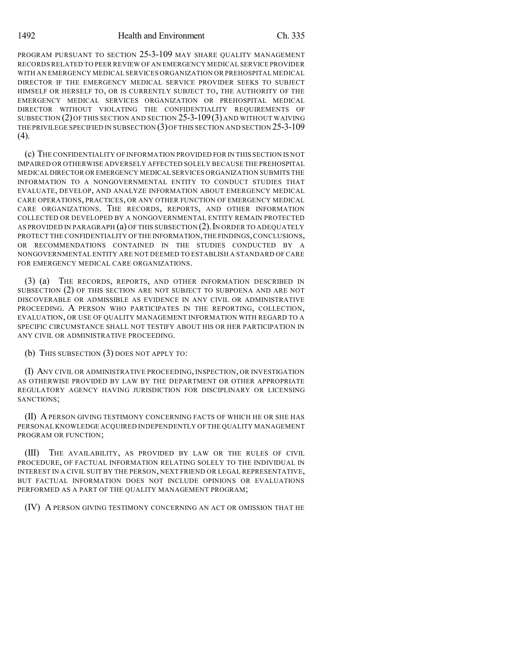PROGRAM PURSUANT TO SECTION 25-3-109 MAY SHARE QUALITY MANAGEMENT RECORDS RELATED TO PEER REVIEW OF AN EMERGENCY MEDICAL SERVICE PROVIDER WITH AN EMERGENCY MEDICAL SERVICES ORGANIZATION OR PREHOSPITAL MEDICAL DIRECTOR IF THE EMERGENCY MEDICAL SERVICE PROVIDER SEEKS TO SUBJECT HIMSELF OR HERSELF TO, OR IS CURRENTLY SUBJECT TO, THE AUTHORITY OF THE EMERGENCY MEDICAL SERVICES ORGANIZATION OR PREHOSPITAL MEDICAL DIRECTOR WITHOUT VIOLATING THE CONFIDENTIALITY REQUIREMENTS OF SUBSECTION (2)OF THIS SECTION AND SECTION 25-3-109(3) AND WITHOUT WAIVING THE PRIVILEGE SPECIFIED IN SUBSECTION (3) OF THIS SECTION AND SECTION 25-3-109  $(4)$ .

(c) THE CONFIDENTIALITY OF INFORMATION PROVIDED FOR IN THIS SECTION IS NOT IMPAIRED OR OTHERWISE ADVERSELY AFFECTED SOLELY BECAUSE THE PREHOSPITAL MEDICAL DIRECTOR OR EMERGENCY MEDICAL SERVICES ORGANIZATION SUBMITS THE INFORMATION TO A NONGOVERNMENTAL ENTITY TO CONDUCT STUDIES THAT EVALUATE, DEVELOP, AND ANALYZE INFORMATION ABOUT EMERGENCY MEDICAL CARE OPERATIONS, PRACTICES, OR ANY OTHER FUNCTION OF EMERGENCY MEDICAL CARE ORGANIZATIONS. THE RECORDS, REPORTS, AND OTHER INFORMATION COLLECTED OR DEVELOPED BY A NONGOVERNMENTAL ENTITY REMAIN PROTECTED AS PROVIDED IN PARAGRAPH (a) OF THIS SUBSECTION (2). IN ORDER TO ADEQUATELY PROTECT THE CONFIDENTIALITY OFTHE INFORMATION,THE FINDINGS,CONCLUSIONS, OR RECOMMENDATIONS CONTAINED IN THE STUDIES CONDUCTED BY A NONGOVERNMENTAL ENTITY ARE NOT DEEMED TO ESTABLISH A STANDARD OF CARE FOR EMERGENCY MEDICAL CARE ORGANIZATIONS.

(3) (a) THE RECORDS, REPORTS, AND OTHER INFORMATION DESCRIBED IN SUBSECTION (2) OF THIS SECTION ARE NOT SUBJECT TO SUBPOENA AND ARE NOT DISCOVERABLE OR ADMISSIBLE AS EVIDENCE IN ANY CIVIL OR ADMINISTRATIVE PROCEEDING. A PERSON WHO PARTICIPATES IN THE REPORTING, COLLECTION, EVALUATION, OR USE OF QUALITY MANAGEMENT INFORMATION WITH REGARD TO A SPECIFIC CIRCUMSTANCE SHALL NOT TESTIFY ABOUT HIS OR HER PARTICIPATION IN ANY CIVIL OR ADMINISTRATIVE PROCEEDING.

(b) THIS SUBSECTION (3) DOES NOT APPLY TO:

(I) ANY CIVIL OR ADMINISTRATIVE PROCEEDING, INSPECTION, OR INVESTIGATION AS OTHERWISE PROVIDED BY LAW BY THE DEPARTMENT OR OTHER APPROPRIATE REGULATORY AGENCY HAVING JURISDICTION FOR DISCIPLINARY OR LICENSING SANCTIONS;

(II) A PERSON GIVING TESTIMONY CONCERNING FACTS OF WHICH HE OR SHE HAS PERSONAL KNOWLEDGE ACQUIRED INDEPENDENTLY OF THE QUALITY MANAGEMENT PROGRAM OR FUNCTION;

(III) THE AVAILABILITY, AS PROVIDED BY LAW OR THE RULES OF CIVIL PROCEDURE, OF FACTUAL INFORMATION RELATING SOLELY TO THE INDIVIDUAL IN INTEREST IN A CIVIL SUIT BY THE PERSON, NEXT FRIEND OR LEGAL REPRESENTATIVE, BUT FACTUAL INFORMATION DOES NOT INCLUDE OPINIONS OR EVALUATIONS PERFORMED AS A PART OF THE QUALITY MANAGEMENT PROGRAM;

(IV) A PERSON GIVING TESTIMONY CONCERNING AN ACT OR OMISSION THAT HE